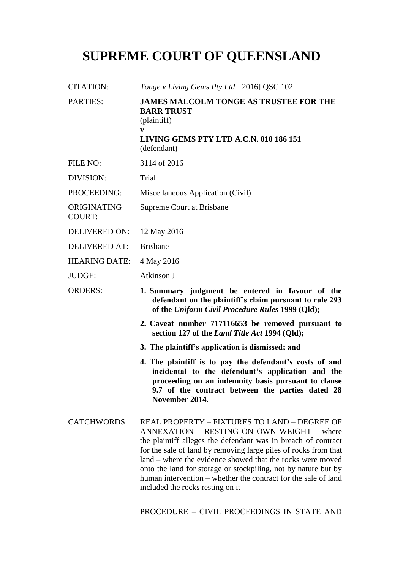# **SUPREME COURT OF QUEENSLAND**

| <b>CITATION:</b>             | Tonge v Living Gems Pty Ltd [2016] QSC 102                                                                                                                                                                                                                                                                                                                                                                                       |
|------------------------------|----------------------------------------------------------------------------------------------------------------------------------------------------------------------------------------------------------------------------------------------------------------------------------------------------------------------------------------------------------------------------------------------------------------------------------|
| <b>PARTIES:</b>              | <b>JAMES MALCOLM TONGE AS TRUSTEE FOR THE</b><br><b>BARR TRUST</b><br>(plaintiff)                                                                                                                                                                                                                                                                                                                                                |
|                              | V<br>LIVING GEMS PTY LTD A.C.N. 010 186 151<br>(defendant)                                                                                                                                                                                                                                                                                                                                                                       |
| FILE NO:                     | 3114 of 2016                                                                                                                                                                                                                                                                                                                                                                                                                     |
| DIVISION:                    | Trial                                                                                                                                                                                                                                                                                                                                                                                                                            |
| PROCEEDING:                  | Miscellaneous Application (Civil)                                                                                                                                                                                                                                                                                                                                                                                                |
| ORIGINATING<br><b>COURT:</b> | Supreme Court at Brisbane                                                                                                                                                                                                                                                                                                                                                                                                        |
| <b>DELIVERED ON:</b>         | 12 May 2016                                                                                                                                                                                                                                                                                                                                                                                                                      |
| <b>DELIVERED AT:</b>         | <b>Brisbane</b>                                                                                                                                                                                                                                                                                                                                                                                                                  |
| <b>HEARING DATE:</b>         | 4 May 2016                                                                                                                                                                                                                                                                                                                                                                                                                       |
| <b>JUDGE:</b>                | Atkinson J                                                                                                                                                                                                                                                                                                                                                                                                                       |
| <b>ORDERS:</b>               | 1. Summary judgment be entered in favour of the<br>defendant on the plaintiff's claim pursuant to rule 293<br>of the Uniform Civil Procedure Rules 1999 (Qld);                                                                                                                                                                                                                                                                   |
|                              | 2. Caveat number 717116653 be removed pursuant to<br>section 127 of the <i>Land Title Act</i> 1994 (Qld);                                                                                                                                                                                                                                                                                                                        |
|                              | 3. The plaintiff's application is dismissed; and                                                                                                                                                                                                                                                                                                                                                                                 |
|                              | 4. The plaintiff is to pay the defendant's costs of and<br>incidental to the defendant's application and the<br>proceeding on an indemnity basis pursuant to clause<br>9.7 of the contract between the parties dated 28<br>November 2014.                                                                                                                                                                                        |
| <b>CATCHWORDS:</b>           | REAL PROPERTY - FIXTURES TO LAND - DEGREE OF<br>ANNEXATION - RESTING ON OWN WEIGHT - where<br>the plaintiff alleges the defendant was in breach of contract<br>for the sale of land by removing large piles of rocks from that<br>land – where the evidence showed that the rocks were moved<br>onto the land for storage or stockpiling, not by nature but by<br>human intervention – whether the contract for the sale of land |

PROCEDURE – CIVIL PROCEEDINGS IN STATE AND

included the rocks resting on it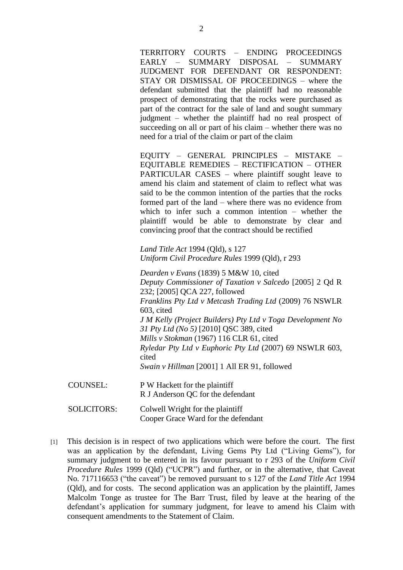TERRITORY COURTS – ENDING PROCEEDINGS EARLY – SUMMARY DISPOSAL – SUMMARY JUDGMENT FOR DEFENDANT OR RESPONDENT: STAY OR DISMISSAL OF PROCEEDINGS – where the defendant submitted that the plaintiff had no reasonable prospect of demonstrating that the rocks were purchased as part of the contract for the sale of land and sought summary judgment – whether the plaintiff had no real prospect of succeeding on all or part of his claim – whether there was no need for a trial of the claim or part of the claim

EQUITY – GENERAL PRINCIPLES – MISTAKE – EQUITABLE REMEDIES – RECTIFICATION – OTHER PARTICULAR CASES – where plaintiff sought leave to amend his claim and statement of claim to reflect what was said to be the common intention of the parties that the rocks formed part of the land – where there was no evidence from which to infer such a common intention – whether the plaintiff would be able to demonstrate by clear and convincing proof that the contract should be rectified

*Land Title Act* 1994 (Qld), s 127 *Uniform Civil Procedure Rules* 1999 (Qld), r 293

*Dearden v Evans* (1839) 5 M&W 10, cited *Deputy Commissioner of Taxation v Salcedo* [2005] 2 Qd R 232; [2005] QCA 227, followed *Franklins Pty Ltd v Metcash Trading Ltd* (2009) 76 NSWLR 603, cited *J M Kelly (Project Builders) Pty Ltd v Toga Development No 31 Pty Ltd (No 5)* [2010] QSC 389, cited *Mills v Stokman* (1967) 116 CLR 61, cited *Ryledar Pty Ltd v Euphoric Pty Ltd* (2007) 69 NSWLR 603, cited *Swain v Hillman* [2001] 1 All ER 91, followed COUNSEL: P W Hackett for the plaintiff

R J Anderson QC for the defendant

SOLICITORS: Colwell Wright for the plaintiff Cooper Grace Ward for the defendant

[1] This decision is in respect of two applications which were before the court. The first was an application by the defendant, Living Gems Pty Ltd ("Living Gems"), for summary judgment to be entered in its favour pursuant to r 293 of the *Uniform Civil Procedure Rules* 1999 (Qld) ("UCPR") and further, or in the alternative, that Caveat No. 717116653 ("the caveat") be removed pursuant to s 127 of the *Land Title Act* 1994 (Qld), and for costs. The second application was an application by the plaintiff, James Malcolm Tonge as trustee for The Barr Trust, filed by leave at the hearing of the defendant's application for summary judgment, for leave to amend his Claim with consequent amendments to the Statement of Claim.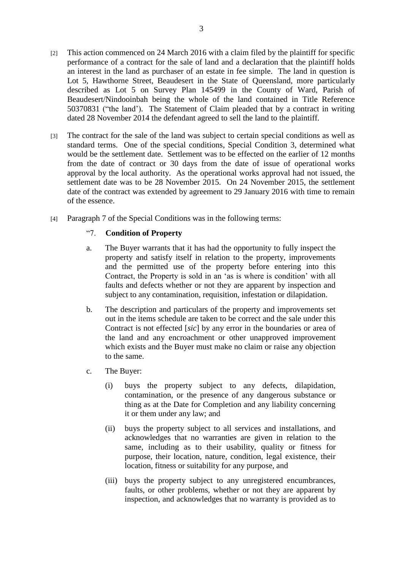- [2] This action commenced on 24 March 2016 with a claim filed by the plaintiff for specific performance of a contract for the sale of land and a declaration that the plaintiff holds an interest in the land as purchaser of an estate in fee simple. The land in question is Lot 5, Hawthorne Street, Beaudesert in the State of Queensland, more particularly described as Lot 5 on Survey Plan 145499 in the County of Ward, Parish of Beaudesert/Nindooinbah being the whole of the land contained in Title Reference 50370831 ("the land'). The Statement of Claim pleaded that by a contract in writing dated 28 November 2014 the defendant agreed to sell the land to the plaintiff.
- [3] The contract for the sale of the land was subject to certain special conditions as well as standard terms. One of the special conditions, Special Condition 3, determined what would be the settlement date. Settlement was to be effected on the earlier of 12 months from the date of contract or 30 days from the date of issue of operational works approval by the local authority. As the operational works approval had not issued, the settlement date was to be 28 November 2015. On 24 November 2015, the settlement date of the contract was extended by agreement to 29 January 2016 with time to remain of the essence.
- [4] Paragraph 7 of the Special Conditions was in the following terms:

## "7. **Condition of Property**

- a. The Buyer warrants that it has had the opportunity to fully inspect the property and satisfy itself in relation to the property, improvements and the permitted use of the property before entering into this Contract, the Property is sold in an 'as is where is condition' with all faults and defects whether or not they are apparent by inspection and subject to any contamination, requisition, infestation or dilapidation.
- b. The description and particulars of the property and improvements set out in the items schedule are taken to be correct and the sale under this Contract is not effected [*sic*] by any error in the boundaries or area of the land and any encroachment or other unapproved improvement which exists and the Buyer must make no claim or raise any objection to the same.
- c. The Buyer:
	- (i) buys the property subject to any defects, dilapidation, contamination, or the presence of any dangerous substance or thing as at the Date for Completion and any liability concerning it or them under any law; and
	- (ii) buys the property subject to all services and installations, and acknowledges that no warranties are given in relation to the same, including as to their usability, quality or fitness for purpose, their location, nature, condition, legal existence, their location, fitness or suitability for any purpose, and
	- (iii) buys the property subject to any unregistered encumbrances, faults, or other problems, whether or not they are apparent by inspection, and acknowledges that no warranty is provided as to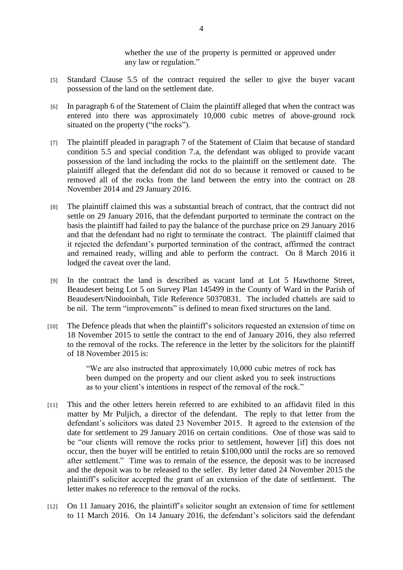whether the use of the property is permitted or approved under any law or regulation."

- [5] Standard Clause 5.5 of the contract required the seller to give the buyer vacant possession of the land on the settlement date.
- [6] In paragraph 6 of the Statement of Claim the plaintiff alleged that when the contract was entered into there was approximately 10,000 cubic metres of above-ground rock situated on the property ("the rocks").
- [7] The plaintiff pleaded in paragraph 7 of the Statement of Claim that because of standard condition 5.5 and special condition 7.a, the defendant was obliged to provide vacant possession of the land including the rocks to the plaintiff on the settlement date. The plaintiff alleged that the defendant did not do so because it removed or caused to be removed all of the rocks from the land between the entry into the contract on 28 November 2014 and 29 January 2016.
- [8] The plaintiff claimed this was a substantial breach of contract, that the contract did not settle on 29 January 2016, that the defendant purported to terminate the contract on the basis the plaintiff had failed to pay the balance of the purchase price on 29 January 2016 and that the defendant had no right to terminate the contract. The plaintiff claimed that it rejected the defendant's purported termination of the contract, affirmed the contract and remained ready, willing and able to perform the contract. On 8 March 2016 it lodged the caveat over the land.
- [9] In the contract the land is described as vacant land at Lot 5 Hawthorne Street, Beaudesert being Lot 5 on Survey Plan 145499 in the County of Ward in the Parish of Beaudesert/Nindooinbah, Title Reference 50370831. The included chattels are said to be nil. The term "improvements" is defined to mean fixed structures on the land.
- [10] The Defence pleads that when the plaintiff's solicitors requested an extension of time on 18 November 2015 to settle the contract to the end of January 2016, they also referred to the removal of the rocks. The reference in the letter by the solicitors for the plaintiff of 18 November 2015 is:

"We are also instructed that approximately 10,000 cubic metres of rock has been dumped on the property and our client asked you to seek instructions as to your client's intentions in respect of the removal of the rock."

- [11] This and the other letters herein referred to are exhibited to an affidavit filed in this matter by Mr Puljich, a director of the defendant. The reply to that letter from the defendant's solicitors was dated 23 November 2015. It agreed to the extension of the date for settlement to 29 January 2016 on certain conditions. One of those was said to be "our clients will remove the rocks prior to settlement, however [if] this does not occur, then the buyer will be entitled to retain \$100,000 until the rocks are so removed after settlement." Time was to remain of the essence, the deposit was to be increased and the deposit was to be released to the seller. By letter dated 24 November 2015 the plaintiff's solicitor accepted the grant of an extension of the date of settlement. The letter makes no reference to the removal of the rocks.
- [12] On 11 January 2016, the plaintiff's solicitor sought an extension of time for settlement to 11 March 2016. On 14 January 2016, the defendant's solicitors said the defendant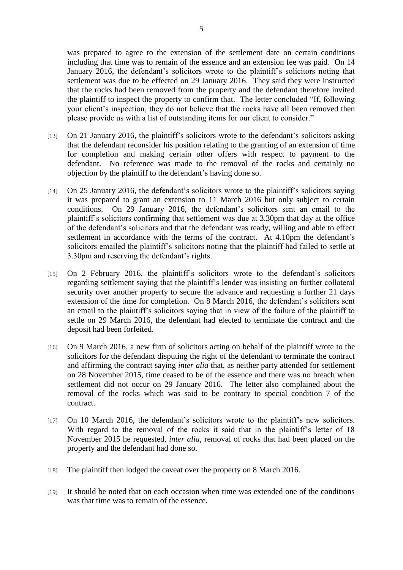was prepared to agree to the extension of the settlement date on certain conditions including that time was to remain of the essence and an extension fee was paid. On 14 January 2016, the defendant's solicitors wrote to the plaintiff's solicitors noting that settlement was due to be effected on 29 January 2016. They said they were instructed that the rocks had been removed from the property and the defendant therefore invited the plaintiff to inspect the property to confirm that. The letter concluded "If, following your client's inspection, they do not believe that the rocks have all been removed then please provide us with a list of outstanding items for our client to consider."

- [13] On 21 January 2016, the plaintiff's solicitors wrote to the defendant's solicitors asking that the defendant reconsider his position relating to the granting of an extension of time for completion and making certain other offers with respect to payment to the defendant. No reference was made to the removal of the rocks and certainly no objection by the plaintiff to the defendant's having done so.
- [14] On 25 January 2016, the defendant's solicitors wrote to the plaintiff's solicitors saying it was prepared to grant an extension to 11 March 2016 but only subject to certain conditions. On 29 January 2016, the defendant's solicitors sent an email to the plaintiff's solicitors confirming that settlement was due at 3.30pm that day at the office of the defendant's solicitors and that the defendant was ready, willing and able to effect settlement in accordance with the terms of the contract. At 4.10pm the defendant's solicitors emailed the plaintiff's solicitors noting that the plaintiff had failed to settle at 3.30pm and reserving the defendant's rights.
- [15] On 2 February 2016, the plaintiff's solicitors wrote to the defendant's solicitors regarding settlement saying that the plaintiff's lender was insisting on further collateral security over another property to secure the advance and requesting a further 21 days extension of the time for completion. On 8 March 2016, the defendant's solicitors sent an email to the plaintiff's solicitors saying that in view of the failure of the plaintiff to settle on 29 March 2016, the defendant had elected to terminate the contract and the deposit had been forfeited.
- [16] On 9 March 2016, a new firm of solicitors acting on behalf of the plaintiff wrote to the solicitors for the defendant disputing the right of the defendant to terminate the contract and affirming the contract saying *inter alia* that, as neither party attended for settlement on 28 November 2015, time ceased to be of the essence and there was no breach when settlement did not occur on 29 January 2016. The letter also complained about the removal of the rocks which was said to be contrary to special condition 7 of the contract.
- [17] On 10 March 2016, the defendant's solicitors wrote to the plaintiff's new solicitors. With regard to the removal of the rocks it said that in the plaintiff's letter of 18 November 2015 he requested, *inter alia*, removal of rocks that had been placed on the property and the defendant had done so.
- [18] The plaintiff then lodged the caveat over the property on 8 March 2016.
- [19] It should be noted that on each occasion when time was extended one of the conditions was that time was to remain of the essence.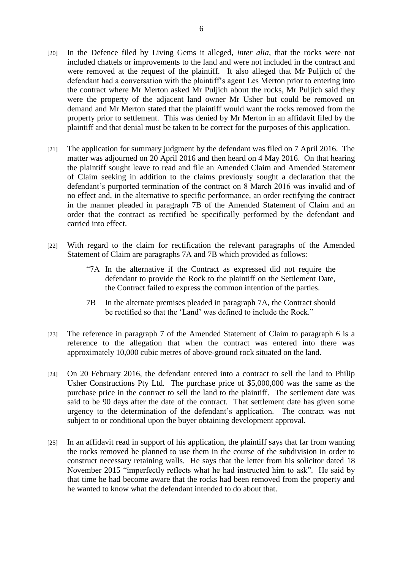- [20] In the Defence filed by Living Gems it alleged, *inter alia*, that the rocks were not included chattels or improvements to the land and were not included in the contract and were removed at the request of the plaintiff. It also alleged that Mr Puljich of the defendant had a conversation with the plaintiff's agent Les Merton prior to entering into the contract where Mr Merton asked Mr Puljich about the rocks, Mr Puljich said they were the property of the adjacent land owner Mr Usher but could be removed on demand and Mr Merton stated that the plaintiff would want the rocks removed from the property prior to settlement. This was denied by Mr Merton in an affidavit filed by the plaintiff and that denial must be taken to be correct for the purposes of this application.
- [21] The application for summary judgment by the defendant was filed on 7 April 2016. The matter was adjourned on 20 April 2016 and then heard on 4 May 2016. On that hearing the plaintiff sought leave to read and file an Amended Claim and Amended Statement of Claim seeking in addition to the claims previously sought a declaration that the defendant's purported termination of the contract on 8 March 2016 was invalid and of no effect and, in the alternative to specific performance, an order rectifying the contract in the manner pleaded in paragraph 7B of the Amended Statement of Claim and an order that the contract as rectified be specifically performed by the defendant and carried into effect.
- [22] With regard to the claim for rectification the relevant paragraphs of the Amended Statement of Claim are paragraphs 7A and 7B which provided as follows:
	- "7A In the alternative if the Contract as expressed did not require the defendant to provide the Rock to the plaintiff on the Settlement Date, the Contract failed to express the common intention of the parties.
	- 7B In the alternate premises pleaded in paragraph 7A, the Contract should be rectified so that the 'Land' was defined to include the Rock."
- [23] The reference in paragraph 7 of the Amended Statement of Claim to paragraph 6 is a reference to the allegation that when the contract was entered into there was approximately 10,000 cubic metres of above-ground rock situated on the land.
- [24] On 20 February 2016, the defendant entered into a contract to sell the land to Philip Usher Constructions Pty Ltd. The purchase price of \$5,000,000 was the same as the purchase price in the contract to sell the land to the plaintiff. The settlement date was said to be 90 days after the date of the contract. That settlement date has given some urgency to the determination of the defendant's application. The contract was not subject to or conditional upon the buyer obtaining development approval.
- [25] In an affidavit read in support of his application, the plaintiff says that far from wanting the rocks removed he planned to use them in the course of the subdivision in order to construct necessary retaining walls. He says that the letter from his solicitor dated 18 November 2015 "imperfectly reflects what he had instructed him to ask". He said by that time he had become aware that the rocks had been removed from the property and he wanted to know what the defendant intended to do about that.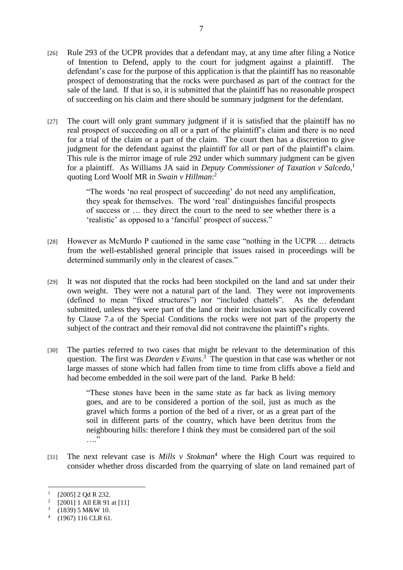- [26] Rule 293 of the UCPR provides that a defendant may, at any time after filing a Notice of Intention to Defend, apply to the court for judgment against a plaintiff. The defendant's case for the purpose of this application is that the plaintiff has no reasonable prospect of demonstrating that the rocks were purchased as part of the contract for the sale of the land. If that is so, it is submitted that the plaintiff has no reasonable prospect of succeeding on his claim and there should be summary judgment for the defendant.
- [27] The court will only grant summary judgment if it is satisfied that the plaintiff has no real prospect of succeeding on all or a part of the plaintiff's claim and there is no need for a trial of the claim or a part of the claim. The court then has a discretion to give judgment for the defendant against the plaintiff for all or part of the plaintiff's claim. This rule is the mirror image of rule 292 under which summary judgment can be given for a plaintiff. As Williams JA said in *Deputy Commissioner of Taxation v Salcedo*, 1 quoting Lord Woolf MR in *Swain v Hillman*: 2

"The words 'no real prospect of succeeding' do not need any amplification, they speak for themselves. The word 'real' distinguishes fanciful prospects of success or … they direct the court to the need to see whether there is a 'realistic' as opposed to a 'fanciful' prospect of success."

- [28] However as McMurdo P cautioned in the same case "nothing in the UCPR … detracts from the well-established general principle that issues raised in proceedings will be determined summarily only in the clearest of cases."
- [29] It was not disputed that the rocks had been stockpiled on the land and sat under their own weight. They were not a natural part of the land. They were not improvements (defined to mean "fixed structures") nor "included chattels". As the defendant submitted, unless they were part of the land or their inclusion was specifically covered by Clause 7.a of the Special Conditions the rocks were not part of the property the subject of the contract and their removal did not contravene the plaintiff's rights.
- [30] The parties referred to two cases that might be relevant to the determination of this question. The first was *Dearden v Evans*. 3 The question in that case was whether or not large masses of stone which had fallen from time to time from cliffs above a field and had become embedded in the soil were part of the land. Parke B held:

"These stones have been in the same state as far back as living memory goes, and are to be considered a portion of the soil, just as much as the gravel which forms a portion of the bed of a river, or as a great part of the soil in different parts of the country, which have been detritus from the neighbouring hills: therefore I think they must be considered part of the soil …"

[31] The next relevant case is *Mills v Stokman*<sup>4</sup> where the High Court was required to consider whether dross discarded from the quarrying of slate on land remained part of

 $\overline{a}$ 

<sup>&</sup>lt;sup>1</sup> [2005] 2 Qd R 232.

<sup>2</sup> [2001] 1 All ER 91 at [11]

 $(1839)$  5 M&W 10.

<sup>4</sup> (1967) 116 CLR 61.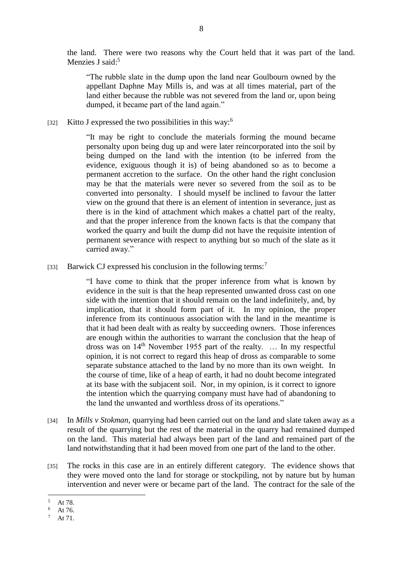the land. There were two reasons why the Court held that it was part of the land. Menzies J said:<sup>5</sup>

"The rubble slate in the dump upon the land near Goulbourn owned by the appellant Daphne May Mills is, and was at all times material, part of the land either because the rubble was not severed from the land or, upon being dumped, it became part of the land again."

[32] Kitto J expressed the two possibilities in this way:<sup>6</sup>

"It may be right to conclude the materials forming the mound became personalty upon being dug up and were later reincorporated into the soil by being dumped on the land with the intention (to be inferred from the evidence, exiguous though it is) of being abandoned so as to become a permanent accretion to the surface. On the other hand the right conclusion may be that the materials were never so severed from the soil as to be converted into personalty. I should myself be inclined to favour the latter view on the ground that there is an element of intention in severance, just as there is in the kind of attachment which makes a chattel part of the realty, and that the proper inference from the known facts is that the company that worked the quarry and built the dump did not have the requisite intention of permanent severance with respect to anything but so much of the slate as it carried away."

[33] Barwick CJ expressed his conclusion in the following terms:<sup>7</sup>

"I have come to think that the proper inference from what is known by evidence in the suit is that the heap represented unwanted dross cast on one side with the intention that it should remain on the land indefinitely, and, by implication, that it should form part of it. In my opinion, the proper inference from its continuous association with the land in the meantime is that it had been dealt with as realty by succeeding owners. Those inferences are enough within the authorities to warrant the conclusion that the heap of dross was on 14th November 1955 part of the realty. … In my respectful opinion, it is not correct to regard this heap of dross as comparable to some separate substance attached to the land by no more than its own weight. In the course of time, like of a heap of earth, it had no doubt become integrated at its base with the subjacent soil. Nor, in my opinion, is it correct to ignore the intention which the quarrying company must have had of abandoning to the land the unwanted and worthless dross of its operations."

- [34] In *Mills v Stokman*, quarrying had been carried out on the land and slate taken away as a result of the quarrying but the rest of the material in the quarry had remained dumped on the land. This material had always been part of the land and remained part of the land notwithstanding that it had been moved from one part of the land to the other.
- [35] The rocks in this case are in an entirely different category. The evidence shows that they were moved onto the land for storage or stockpiling, not by nature but by human intervention and never were or became part of the land. The contract for the sale of the

 $\overline{a}$  $\frac{5}{6}$  At 78.

At 76.

At 71.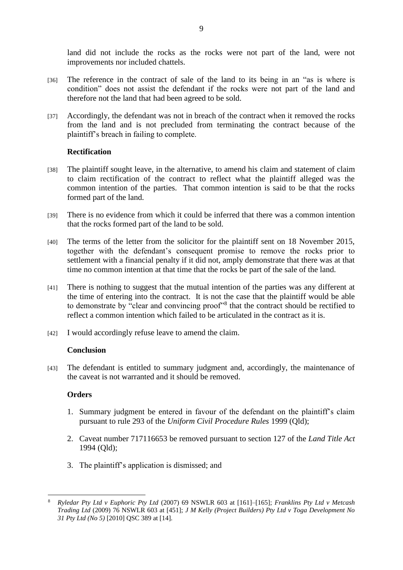land did not include the rocks as the rocks were not part of the land, were not improvements nor included chattels.

- [36] The reference in the contract of sale of the land to its being in an "as is where is condition" does not assist the defendant if the rocks were not part of the land and therefore not the land that had been agreed to be sold.
- [37] Accordingly, the defendant was not in breach of the contract when it removed the rocks from the land and is not precluded from terminating the contract because of the plaintiff's breach in failing to complete.

## **Rectification**

- [38] The plaintiff sought leave, in the alternative, to amend his claim and statement of claim to claim rectification of the contract to reflect what the plaintiff alleged was the common intention of the parties. That common intention is said to be that the rocks formed part of the land.
- [39] There is no evidence from which it could be inferred that there was a common intention that the rocks formed part of the land to be sold.
- [40] The terms of the letter from the solicitor for the plaintiff sent on 18 November 2015, together with the defendant's consequent promise to remove the rocks prior to settlement with a financial penalty if it did not, amply demonstrate that there was at that time no common intention at that time that the rocks be part of the sale of the land.
- [41] There is nothing to suggest that the mutual intention of the parties was any different at the time of entering into the contract. It is not the case that the plaintiff would be able to demonstrate by "clear and convincing proof"<sup>8</sup> that the contract should be rectified to reflect a common intention which failed to be articulated in the contract as it is.
- [42] I would accordingly refuse leave to amend the claim.

### **Conclusion**

[43] The defendant is entitled to summary judgment and, accordingly, the maintenance of the caveat is not warranted and it should be removed.

### **Orders**

- 1. Summary judgment be entered in favour of the defendant on the plaintiff's claim pursuant to rule 293 of the *Uniform Civil Procedure Rules* 1999 (Qld);
- 2. Caveat number 717116653 be removed pursuant to section 127 of the *Land Title Act*  1994 (Qld);
- 3. The plaintiff's application is dismissed; and

 $\overline{a}$ <sup>8</sup> *Ryledar Pty Ltd v Euphoric Pty Ltd* (2007) 69 NSWLR 603 at [161]–[165]; *Franklins Pty Ltd v Metcash Trading Ltd* (2009) 76 NSWLR 603 at [451]; *J M Kelly (Project Builders) Pty Ltd v Toga Development No 31 Pty Ltd (No 5)* [2010] QSC 389 at [14].